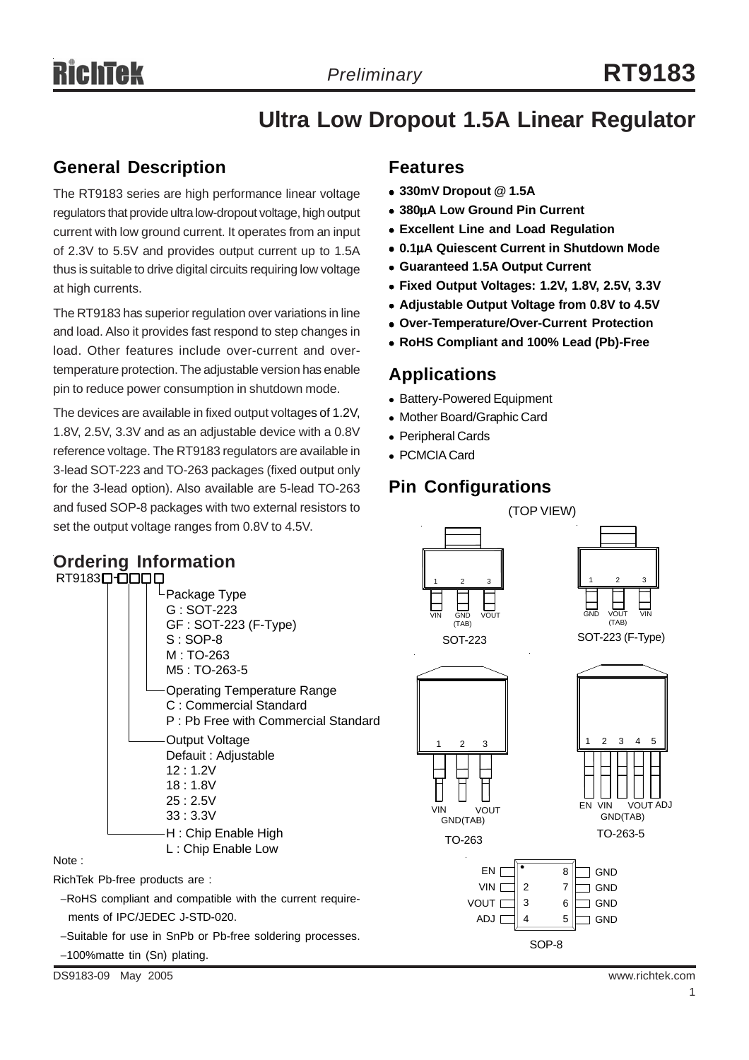## **Ultra Low Dropout 1.5A Linear Regulator**

## **General Description**

The RT9183 series are high performance linear voltage regulators that provide ultra low-dropout voltage, high output current with low ground current. It operates from an input of 2.3V to 5.5V and provides output current up to 1.5A thus is suitable to drive digital circuits requiring low voltage at high currents.

The RT9183 has superior regulation over variations in line and load. Also it provides fast respond to step changes in load. Other features include over-current and overtemperature protection. The adjustable version has enable pin to reduce power consumption in shutdown mode.

The devices are available in fixed output voltages of 1.2V, 1.8V, 2.5V, 3.3V and as an adjustable device with a 0.8V reference voltage. The RT9183 regulators are available in 3-lead SOT-223 and TO-263 packages (fixed output only for the 3-lead option). Also available are 5-lead TO-263 and fused SOP-8 packages with two external resistors to set the output voltage ranges from 0.8V to 4.5V.

#### **Ordering Information** RT9183<sup>[1</sup> Package Type G : SOT-223 GF : SOT-223 (F-Type) S : SOP-8 M : TO-263 M5 : TO-263-5 Operating Temperature Range C : Commercial Standard P : Pb Free with Commercial Standard Output Voltage Defauit : Adjustable 12 : 1.2V 18 : 1.8V 25 : 2.5V 33 : 3.3V H : Chip Enable High L : Chip Enable Low

Note :

RichTek Pb-free products are :

−RoHS compliant and compatible with the current require ments of IPC/JEDEC J-STD-020.

−Suitable for use in SnPb or Pb-free soldering processes.

−100%matte tin (Sn) plating.

DS9183-09 May 2005 www.richtek.com

## **Features**

- <sup>z</sup> **330mV Dropout @ 1.5A**
- <sup>z</sup> **380**μ**A Low Ground Pin Current**
- **Excellent Line and Load Regulation**
- <sup>z</sup> **0.1**μ**A Quiescent Current in Shutdown Mode**
- <sup>z</sup> **Guaranteed 1.5A Output Current**
- <sup>z</sup> **Fixed Output Voltages: 1.2V, 1.8V, 2.5V, 3.3V**
- **Adjustable Output Voltage from 0.8V to 4.5V**
- <sup>z</sup> **Over-Temperature/Over-Current Protection**
- <sup>z</sup> **RoHS Compliant and 100% Lead (Pb)-Free**

## **Applications**

- Battery-Powered Equipment
- Mother Board/Graphic Card
- Peripheral Cards
- PCMCIA Card

## **Pin Configurations**

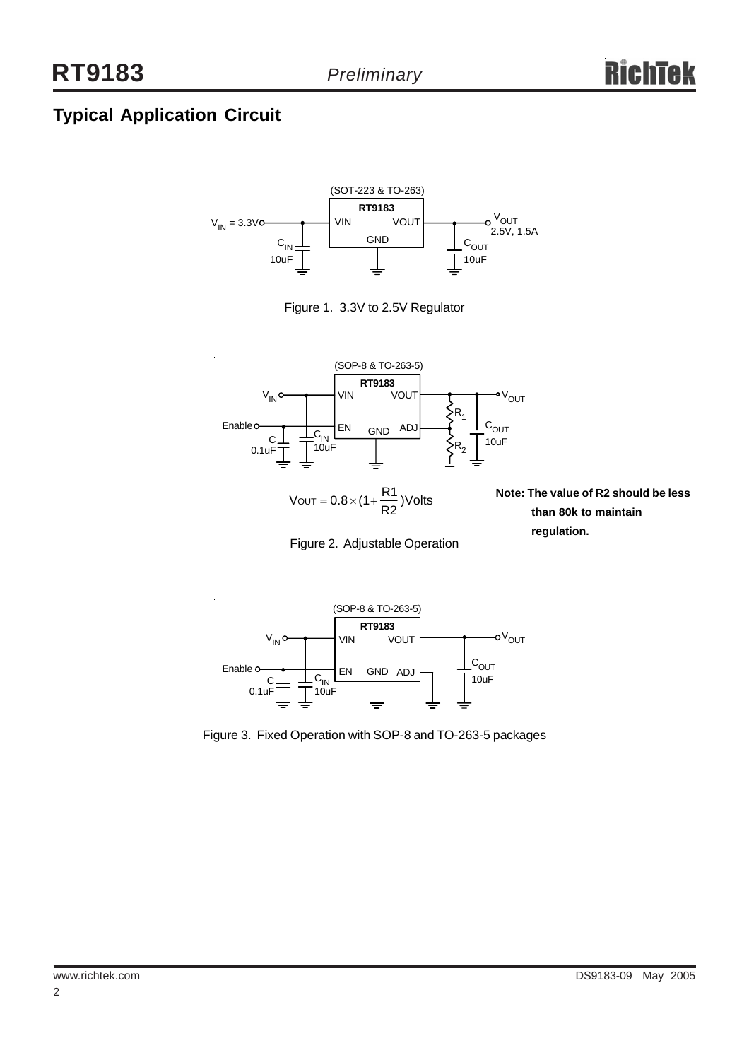## **Typical Application Circuit**







 $\text{VOUT} = 0.8 \times (1 + \frac{\text{R1}}{\text{R2}}) \text{Volts}$ 

Figure 2. Adjustable Operation

**Note: The value of R2 should be less than 80k to maintain regulation.**



Figure 3. Fixed Operation with SOP-8 and TO-263-5 packages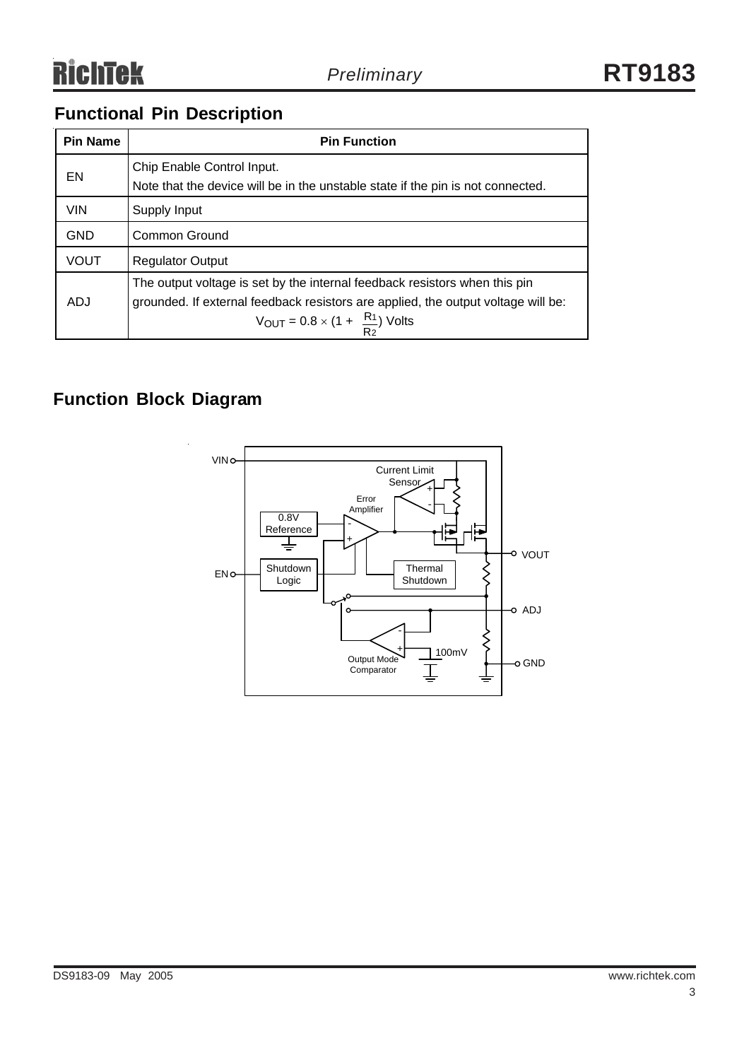## **Functional Pin Description**

| <b>Pin Name</b> | <b>Pin Function</b>                                                                                                                                                                                                          |  |  |  |
|-----------------|------------------------------------------------------------------------------------------------------------------------------------------------------------------------------------------------------------------------------|--|--|--|
| EN              | Chip Enable Control Input.<br>Note that the device will be in the unstable state if the pin is not connected.                                                                                                                |  |  |  |
| <b>VIN</b>      | Supply Input                                                                                                                                                                                                                 |  |  |  |
| <b>GND</b>      | Common Ground                                                                                                                                                                                                                |  |  |  |
| <b>VOUT</b>     | <b>Regulator Output</b>                                                                                                                                                                                                      |  |  |  |
| ADJ             | The output voltage is set by the internal feedback resistors when this pin<br>grounded. If external feedback resistors are applied, the output voltage will be:<br>$V_{\text{OUT}} = 0.8 \times (1 + \frac{R_1}{R_2})$ Volts |  |  |  |

## **Function Block Diagram**

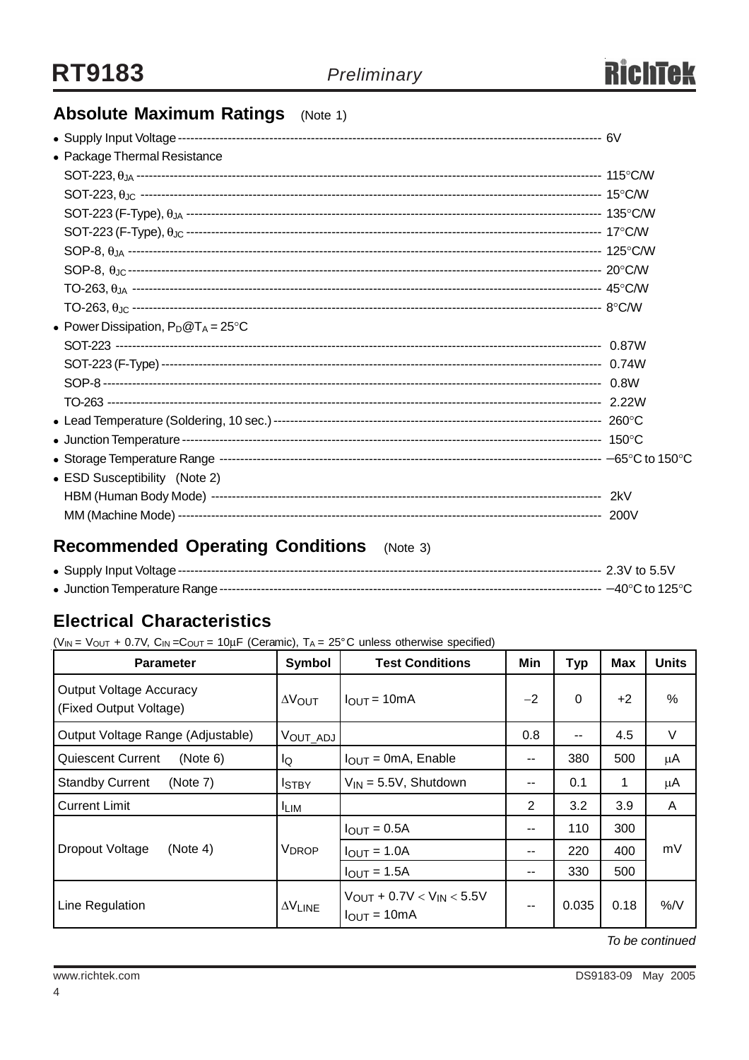

## **Absolute Maximum Ratings** (Note 1)

| • Package Thermal Resistance          |  |
|---------------------------------------|--|
|                                       |  |
|                                       |  |
|                                       |  |
|                                       |  |
|                                       |  |
|                                       |  |
|                                       |  |
|                                       |  |
| • Power Dissipation, $P_D@T_A = 25°C$ |  |
|                                       |  |
|                                       |  |
|                                       |  |
|                                       |  |
|                                       |  |
|                                       |  |
|                                       |  |
| • ESD Susceptibility (Note 2)         |  |
|                                       |  |
|                                       |  |
|                                       |  |

## **Recommended Operating Conditions** (Note 3)

## **Electrical Characteristics**

( $V_{IN}$  =  $V_{OUT}$  + 0.7V,  $C_{IN}$  =  $C_{OUT}$  = 10 $\mu$ F (Ceramic),  $T_A$  = 25°C unless otherwise specified)

| <b>Parameter</b>                                         | Symbol               | <b>Test Conditions</b>                                             | Min                      | <b>Typ</b> | <b>Max</b> | <b>Units</b> |
|----------------------------------------------------------|----------------------|--------------------------------------------------------------------|--------------------------|------------|------------|--------------|
| <b>Output Voltage Accuracy</b><br>(Fixed Output Voltage) | $\Delta V_{\rm OUT}$ | $IOUT = 10mA$                                                      | $-2$                     | $\Omega$   | $+2$       | %            |
| Output Voltage Range (Adjustable)                        | VOUT_ADJ             |                                                                    | 0.8                      | $- -$      | 4.5        | V            |
| <b>Quiescent Current</b><br>(Note 6)                     | lQ                   | $I_{OUT} = 0mA$ , Enable                                           | $\overline{\phantom{a}}$ | 380        | 500        | μA           |
| <b>Standby Current</b><br>(Note 7)                       | <b>I</b> STBY        | $V_{IN} = 5.5V$ , Shutdown                                         | --                       | 0.1        | 1          | μA           |
| <b>Current Limit</b>                                     | <sup>I</sup> LIM     |                                                                    | 2                        | 3.2        | 3.9        | A            |
|                                                          |                      | $IOUT = 0.5A$                                                      | --                       | 110        | 300        |              |
| Dropout Voltage<br>(Note 4)                              | V <sub>DROP</sub>    | $I_{OUT} = 1.0A$                                                   | --                       | 220        | 400        | mV           |
|                                                          |                      | $I_{\text{OUT}} = 1.5A$                                            | --                       | 330        | 500        |              |
| Line Regulation                                          | $\Delta V$ LINE      | $V_{\text{OUT}} + 0.7V < V_{\text{IN}} < 5.5V$<br>$I_{OUT} = 10mA$ | $- -$                    | 0.035      | 0.18       | %/V          |

*To be continued*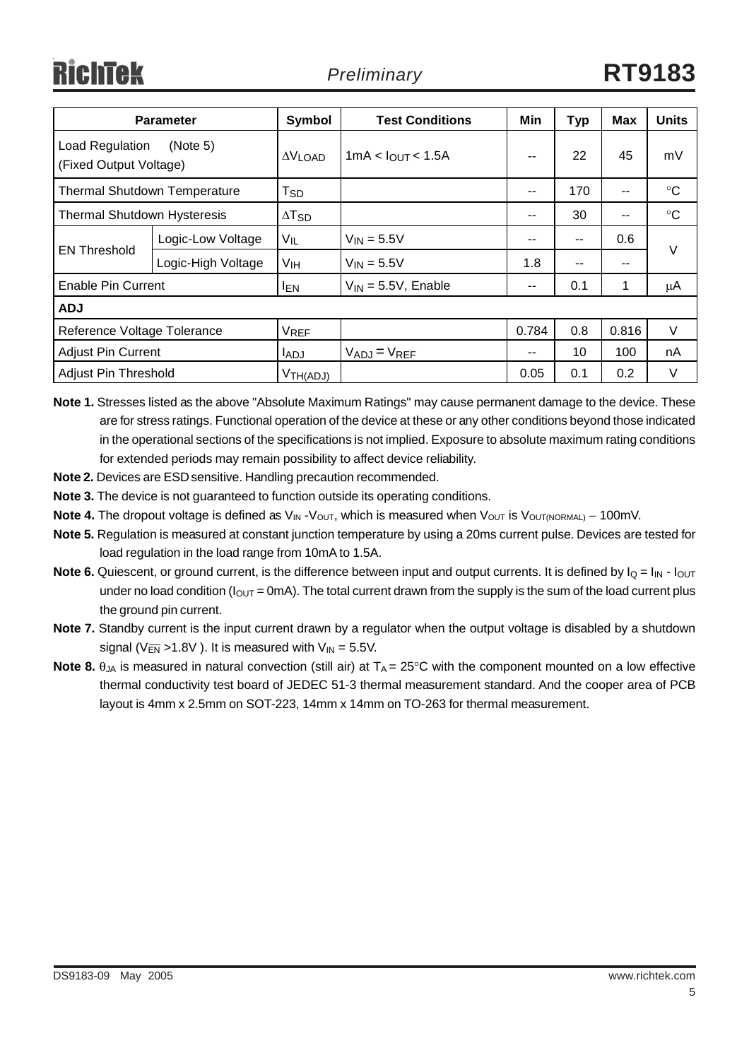| <b>Parameter</b>                                      |                    | Symbol                     | <b>Test Conditions</b>        | Min   | Typ | Max   | <b>Units</b>    |
|-------------------------------------------------------|--------------------|----------------------------|-------------------------------|-------|-----|-------|-----------------|
| Load Regulation<br>(Note 5)<br>(Fixed Output Voltage) |                    | $\Delta V$ LOAD            | 1mA < I <sub>OUT</sub> < 1.5A | $-$   | 22  | 45    | mV              |
| <b>Thermal Shutdown Temperature</b>                   |                    | $\mathsf{T}_{\mathsf{SD}}$ |                               | --    | 170 | --    | $^{\circ}C$     |
| <b>Thermal Shutdown Hysteresis</b>                    |                    | $\Delta$ T <sub>SD</sub>   |                               | $- -$ | 30  | --    | $\rm ^{\circ}C$ |
| <b>EN Threshold</b>                                   | Logic-Low Voltage  | VIL                        | $V_{IN} = 5.5V$               | $- -$ | --  | 0.6   | $\vee$          |
|                                                       | Logic-High Voltage | Vıн                        | $V_{IN} = 5.5V$               | 1.8   | --  | --    |                 |
| <b>Enable Pin Current</b>                             |                    | <b>IEN</b>                 | $V_{IN} = 5.5V$ , Enable      | --    | 0.1 | 1     | μA              |
| <b>ADJ</b>                                            |                    |                            |                               |       |     |       |                 |
| Reference Voltage Tolerance                           |                    | VREF                       |                               | 0.784 | 0.8 | 0.816 | $\vee$          |
| <b>Adjust Pin Current</b>                             |                    | <b>LADJ</b>                | $V_{ADJ} = V_{REF}$           | $- -$ | 10  | 100   | nA              |
| <b>Adjust Pin Threshold</b>                           |                    | V <sub>TH(ADJ)</sub>       |                               | 0.05  | 0.1 | 0.2   | $\vee$          |

**Note 1.** Stresses listed as the above "Absolute Maximum Ratings" may cause permanent damage to the device. These are for stress ratings. Functional operation of the device at these or any other conditions beyond those indicated in the operational sections of the specifications is not implied. Exposure to absolute maximum rating conditions for extended periods may remain possibility to affect device reliability.

- **Note 2.** Devices are ESD sensitive. Handling precaution recommended.
- **Note 3.** The device is not guaranteed to function outside its operating conditions.
- Note 4. The dropout voltage is defined as V<sub>IN</sub> -V<sub>OUT</sub>, which is measured when V<sub>OUT</sub> is V<sub>OUT(NORMAL)</sub> 100mV.
- **Note 5.** Regulation is measured at constant junction temperature by using a 20ms current pulse. Devices are tested for load regulation in the load range from 10mA to 1.5A.
- **Note 6.** Quiescent, or ground current, is the difference between input and output currents. It is defined by  $I_Q = I_{IN} I_{OUT}$ under no load condition ( $I_{\text{OUT}}$  = 0mA). The total current drawn from the supply is the sum of the load current plus the ground pin current.
- **Note 7.** Standby current is the input current drawn by a regulator when the output voltage is disabled by a shutdown signal ( $V_{\overline{EN}}$  >1.8V). It is measured with  $V_{IN}$  = 5.5V.
- **Note 8.**  $\theta_{JA}$  is measured in natural convection (still air) at  $T_A = 25^{\circ}C$  with the component mounted on a low effective thermal conductivity test board of JEDEC 51-3 thermal measurement standard. And the cooper area of PCB layout is 4mm x 2.5mm on SOT-223, 14mm x 14mm on TO-263 for thermal measurement.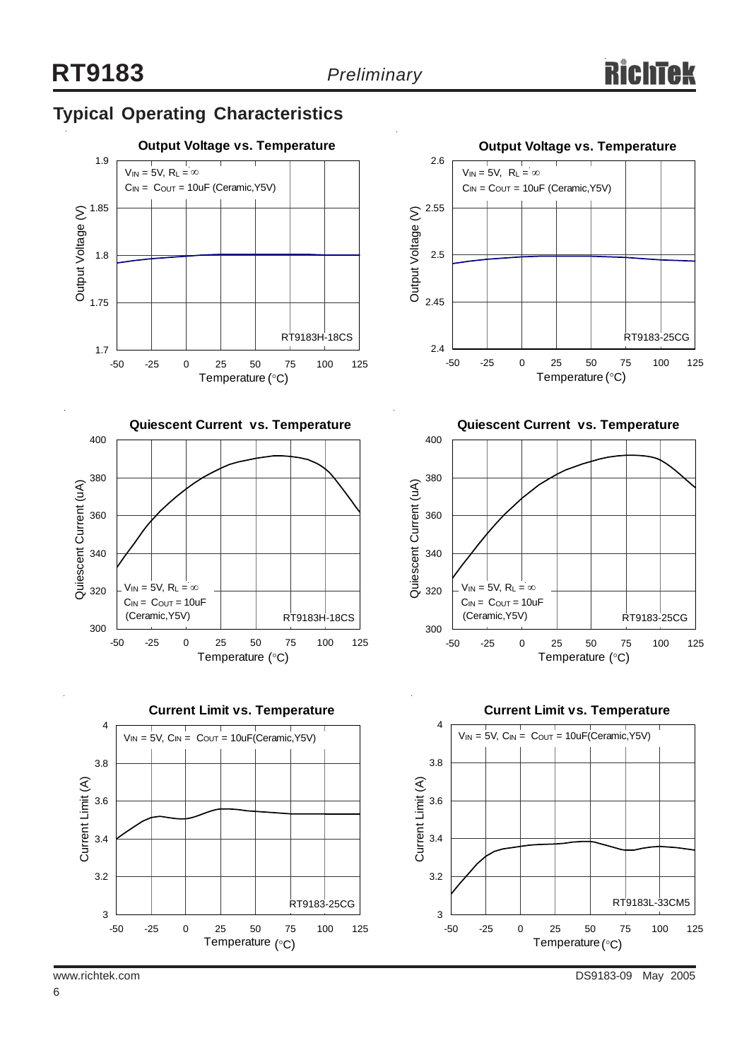## **Typical Operating Characteristics**











**Quiescent Current vs. Temperature**



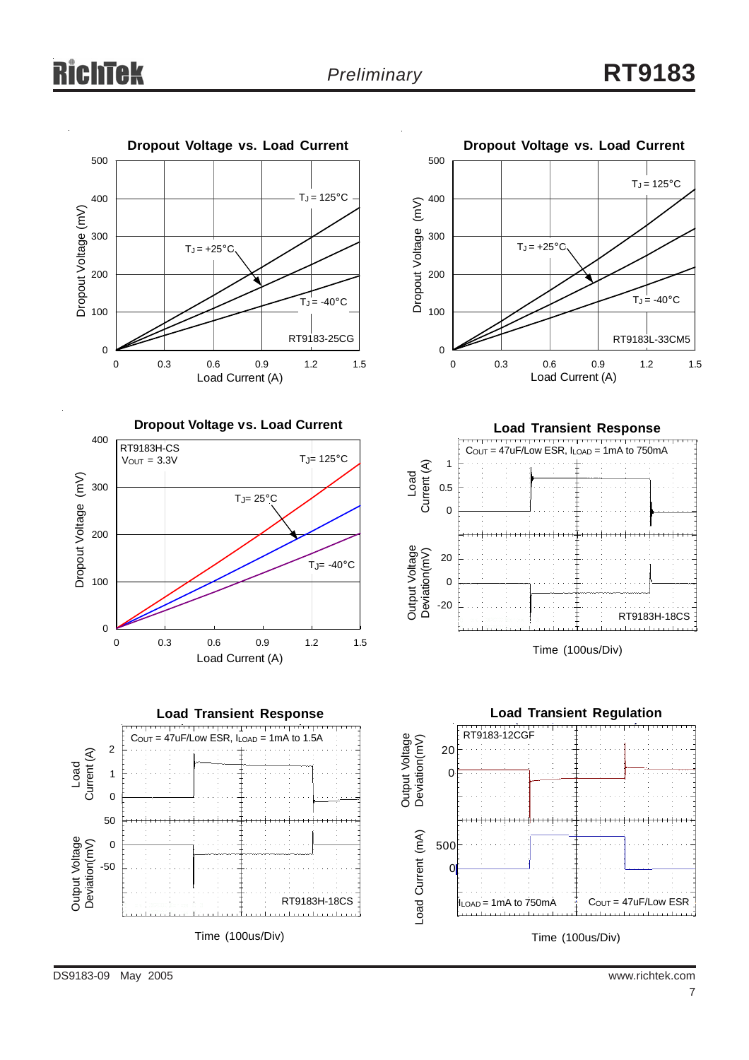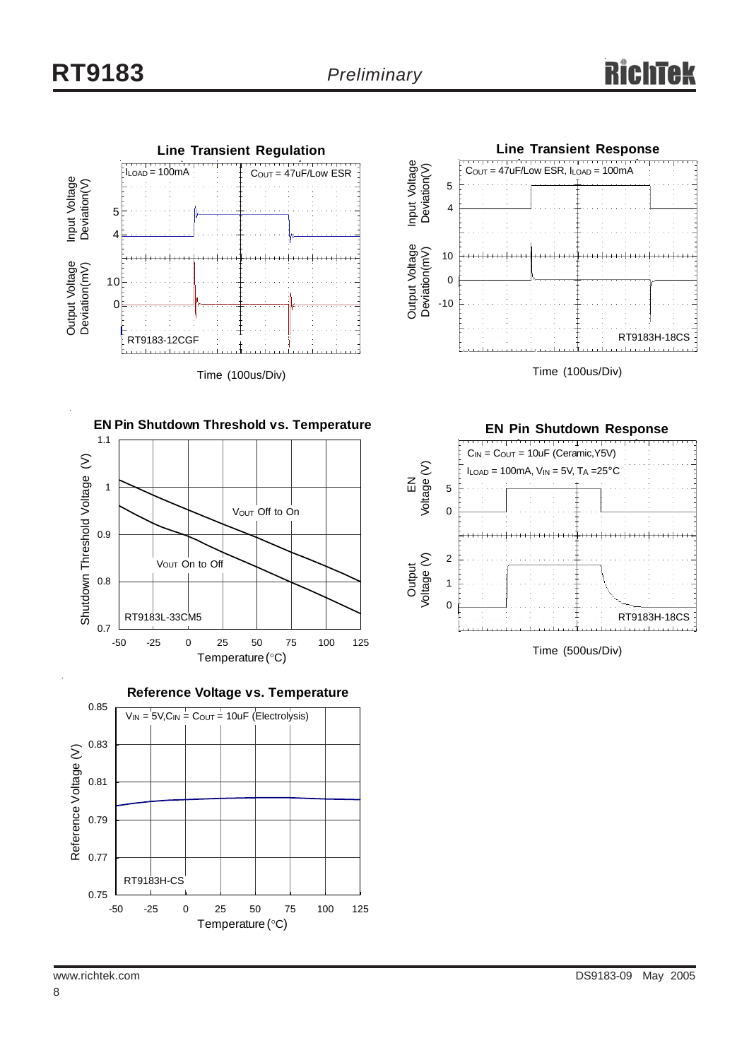

Time (100us/Div)









**EN Pin Shutdown Response** RT9183H-18CS  $C_{IN} = C_{OUT} = 10uF$  (Ceramic, Y5V)  $I_{LOAD} = 100$ mA,  $V_{IN} = 5V$ ,  $T_A = 25$ °C EN<br>Voltage (V) Voltage (V) Output<br>Voltage (V) Voltage (V)  $\overline{0}$  2 1 0 5

Time (500us/Div)

8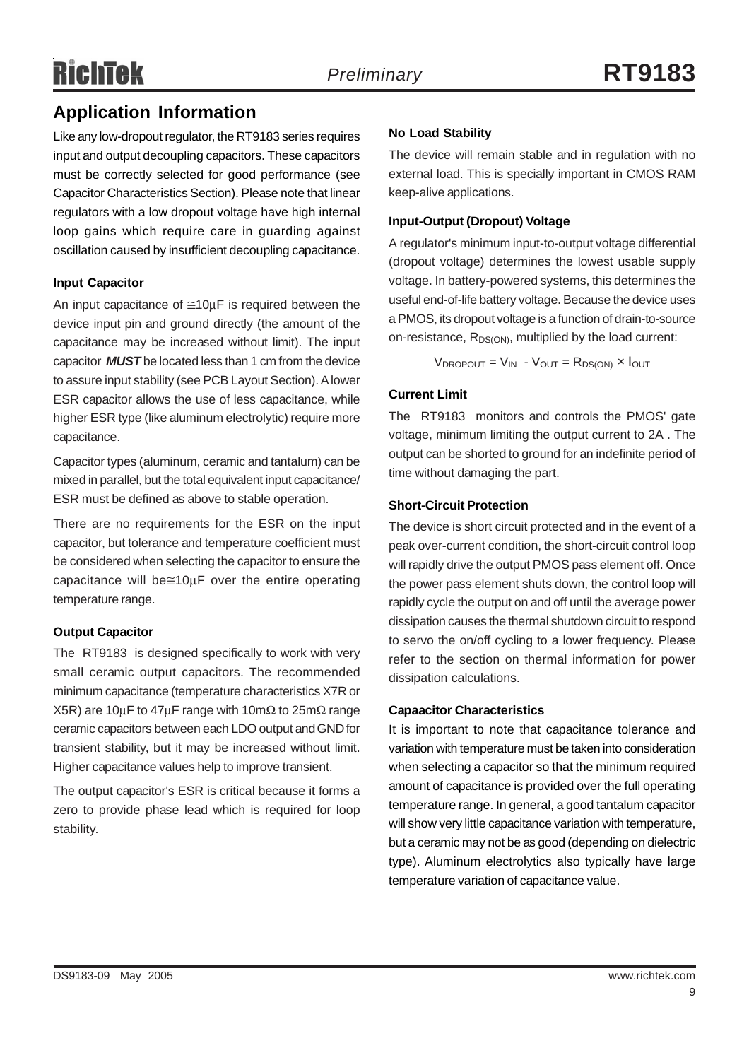# RichTek

## **Application Information**

Like any low-dropout regulator, the RT9183 series requires input and output decoupling capacitors. These capacitors must be correctly selected for good performance (see Capacitor Characteristics Section). Please note that linear regulators with a low dropout voltage have high internal loop gains which require care in guarding against oscillation caused by insufficient decoupling capacitance.

#### **Input Capacitor**

An input capacitance of  $\approx 10 \mu$ F is required between the device input pin and ground directly (the amount of the capacitance may be increased without limit). The input capacitor *MUST* be located less than 1 cm from the device to assure input stability (see PCB Layout Section). A lower ESR capacitor allows the use of less capacitance, while higher ESR type (like aluminum electrolytic) require more capacitance.

Capacitor types (aluminum, ceramic and tantalum) can be mixed in parallel, but the total equivalent input capacitance/ ESR must be defined as above to stable operation.

There are no requirements for the ESR on the input capacitor, but tolerance and temperature coefficient must be considered when selecting the capacitor to ensure the capacitance will be≅10μF over the entire operating temperature range.

### **Output Capacitor**

The RT9183 is designed specifically to work with very small ceramic output capacitors. The recommended minimum capacitance (temperature characteristics X7R or X5R) are 10μF to 47μF range with 10m $\Omega$  to 25m $\Omega$  range ceramic capacitors between each LDO output and GND for transient stability, but it may be increased without limit. Higher capacitance values help to improve transient.

The output capacitor's ESR is critical because it forms a zero to provide phase lead which is required for loop stability.

#### **No Load Stability**

The device will remain stable and in regulation with no external load. This is specially important in CMOS RAM keep-alive applications.

#### **Input-Output (Dropout) Voltage**

A regulator's minimum input-to-output voltage differential (dropout voltage) determines the lowest usable supply voltage. In battery-powered systems, this determines the useful end-of-life battery voltage. Because the device uses a PMOS, its dropout voltage is a function of drain-to-source on-resistance,  $R_{DS(ON)}$ , multiplied by the load current:

 $V_{\text{DROPOUT}} = V_{\text{IN}} - V_{\text{OUT}} = R_{\text{DS(ON)}} \times I_{\text{OUT}}$ 

### **Current Limit**

The RT9183 monitors and controls the PMOS' gate voltage, minimum limiting the output current to 2A . The output can be shorted to ground for an indefinite period of time without damaging the part.

#### **Short-Circuit Protection**

The device is short circuit protected and in the event of a peak over-current condition, the short-circuit control loop will rapidly drive the output PMOS pass element off. Once the power pass element shuts down, the control loop will rapidly cycle the output on and off until the average power dissipation causes the thermal shutdown circuit to respond to servo the on/off cycling to a lower frequency. Please refer to the section on thermal information for power dissipation calculations.

#### **Capaacitor Characteristics**

It is important to note that capacitance tolerance and variation with temperature must be taken into consideration when selecting a capacitor so that the minimum required amount of capacitance is provided over the full operating temperature range. In general, a good tantalum capacitor will show very little capacitance variation with temperature, but a ceramic may not be as good (depending on dielectric type). Aluminum electrolytics also typically have large temperature variation of capacitance value.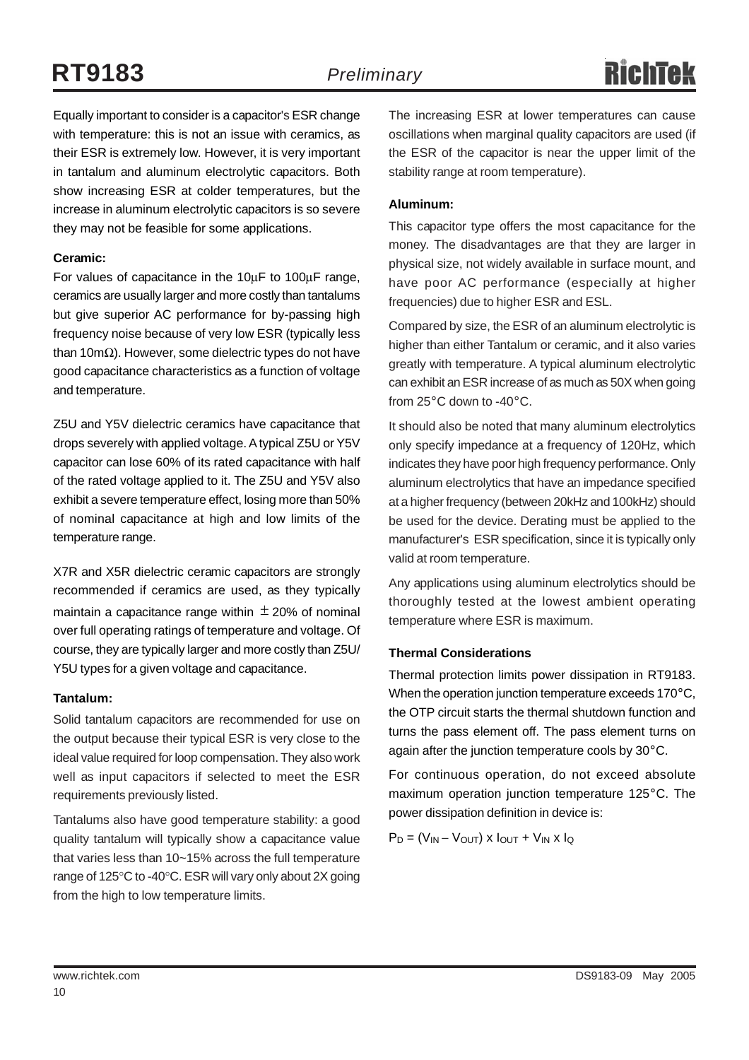## **RT9183** *Preliminary*

Equally important to consider is a capacitor's ESR change with temperature: this is not an issue with ceramics, as their ESR is extremely low. However, it is very important in tantalum and aluminum electrolytic capacitors. Both show increasing ESR at colder temperatures, but the increase in aluminum electrolytic capacitors is so severe they may not be feasible for some applications.

#### **Ceramic:**

For values of capacitance in the 10μF to 100μF range, ceramics are usually larger and more costly than tantalums but give superior AC performance for by-passing high frequency noise because of very low ESR (typically less than 10mΩ). However, some dielectric types do not have good capacitance characteristics as a function of voltage and temperature.

Z5U and Y5V dielectric ceramics have capacitance that drops severely with applied voltage. A typical Z5U or Y5V capacitor can lose 60% of its rated capacitance with half of the rated voltage applied to it. The Z5U and Y5V also exhibit a severe temperature effect, losing more than 50% of nominal capacitance at high and low limits of the temperature range.

X7R and X5R dielectric ceramic capacitors are strongly recommended if ceramics are used, as they typically maintain a capacitance range within  $\pm$  20% of nominal over full operating ratings of temperature and voltage. Of course, they are typically larger and more costly than Z5U/ Y5U types for a given voltage and capacitance.

#### **Tantalum:**

Solid tantalum capacitors are recommended for use on the output because their typical ESR is very close to the ideal value required for loop compensation. They also work well as input capacitors if selected to meet the ESR requirements previously listed.

Tantalums also have good temperature stability: a good quality tantalum will typically show a capacitance value that varies less than 10~15% across the full temperature range of 125°C to -40°C. ESR will vary only about 2X going from the high to low temperature limits.

The increasing ESR at lower temperatures can cause oscillations when marginal quality capacitors are used (if the ESR of the capacitor is near the upper limit of the stability range at room temperature).

#### **Aluminum:**

This capacitor type offers the most capacitance for the money. The disadvantages are that they are larger in physical size, not widely available in surface mount, and have poor AC performance (especially at higher frequencies) due to higher ESR and ESL.

Compared by size, the ESR of an aluminum electrolytic is higher than either Tantalum or ceramic, and it also varies greatly with temperature. A typical aluminum electrolytic can exhibit an ESR increase of as much as 50X when going from 25°C down to -40°C.

It should also be noted that many aluminum electrolytics only specify impedance at a frequency of 120Hz, which indicates they have poor high frequency performance. Only aluminum electrolytics that have an impedance specified at a higher frequency (between 20kHz and 100kHz) should be used for the device. Derating must be applied to the manufacturer's ESR specification, since it is typically only valid at room temperature.

Any applications using aluminum electrolytics should be thoroughly tested at the lowest ambient operating temperature where ESR is maximum.

#### **Thermal Considerations**

Thermal protection limits power dissipation in RT9183. When the operation junction temperature exceeds 170°C, the OTP circuit starts the thermal shutdown function and turns the pass element off. The pass element turns on again after the junction temperature cools by 30°C.

For continuous operation, do not exceed absolute maximum operation junction temperature 125°C. The power dissipation definition in device is:

 $P_D = (V_{IN} - V_{OUT}) \times I_{OUT} + V_{IN} \times I_{Q}$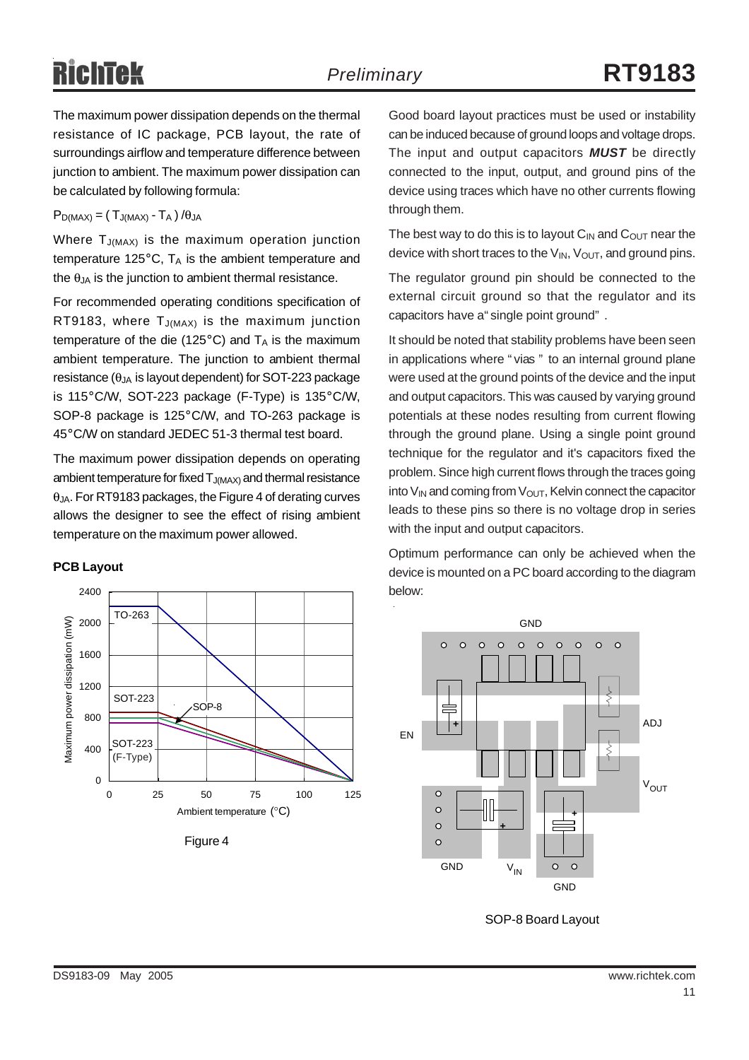The maximum power dissipation depends on the thermal resistance of IC package, PCB layout, the rate of surroundings airflow and temperature difference between junction to ambient. The maximum power dissipation can be calculated by following formula:

#### $P_{D(MAX)} = (T_{J(MAX)} - T_A) / \theta_{JA}$

Where  $T_{J(MAX)}$  is the maximum operation junction temperature 125 $^{\circ}$ C, T<sub>A</sub> is the ambient temperature and the  $\theta_{JA}$  is the junction to ambient thermal resistance.

For recommended operating conditions specification of RT9183, where  $T_{J(MAX)}$  is the maximum junction temperature of the die (125 $^{\circ}$ C) and T<sub>A</sub> is the maximum ambient temperature. The junction to ambient thermal resistance ( $\theta_{JA}$  is layout dependent) for SOT-223 package is 115°C/W, SOT-223 package (F-Type) is 135°C/W, SOP-8 package is 125°C/W, and TO-263 package is 45°C/W on standard JEDEC 51-3 thermal test board.

The maximum power dissipation depends on operating ambient temperature for fixed  $T_{J(MAX)}$  and thermal resistance  $\theta$ <sub>JA</sub>. For RT9183 packages, the Figure 4 of derating curves allows the designer to see the effect of rising ambient temperature on the maximum power allowed.

#### **PCB Layout**



Figure 4

Good board layout practices must be used or instability can be induced because of ground loops and voltage drops. The input and output capacitors *MUST* be directly connected to the input, output, and ground pins of the device using traces which have no other currents flowing through them.

The best way to do this is to layout  $C_{IN}$  and  $C_{OUT}$  near the device with short traces to the  $V_{IN}$ ,  $V_{OUT}$ , and ground pins.

The regulator ground pin should be connected to the external circuit ground so that the regulator and its capacitors have a" single point ground" .

It should be noted that stability problems have been seen in applications where " vias " to an internal ground plane were used at the ground points of the device and the input and output capacitors. This was caused by varying ground potentials at these nodes resulting from current flowing through the ground plane. Using a single point ground technique for the regulator and it's capacitors fixed the problem. Since high current flows through the traces going into  $V_{IN}$  and coming from  $V_{OUT}$ , Kelvin connect the capacitor leads to these pins so there is no voltage drop in series with the input and output capacitors.

Optimum performance can only be achieved when the device is mounted on a PC board according to the diagram below:



SOP-8 Board Layout

DS9183-09 May 2005 www.richtek.com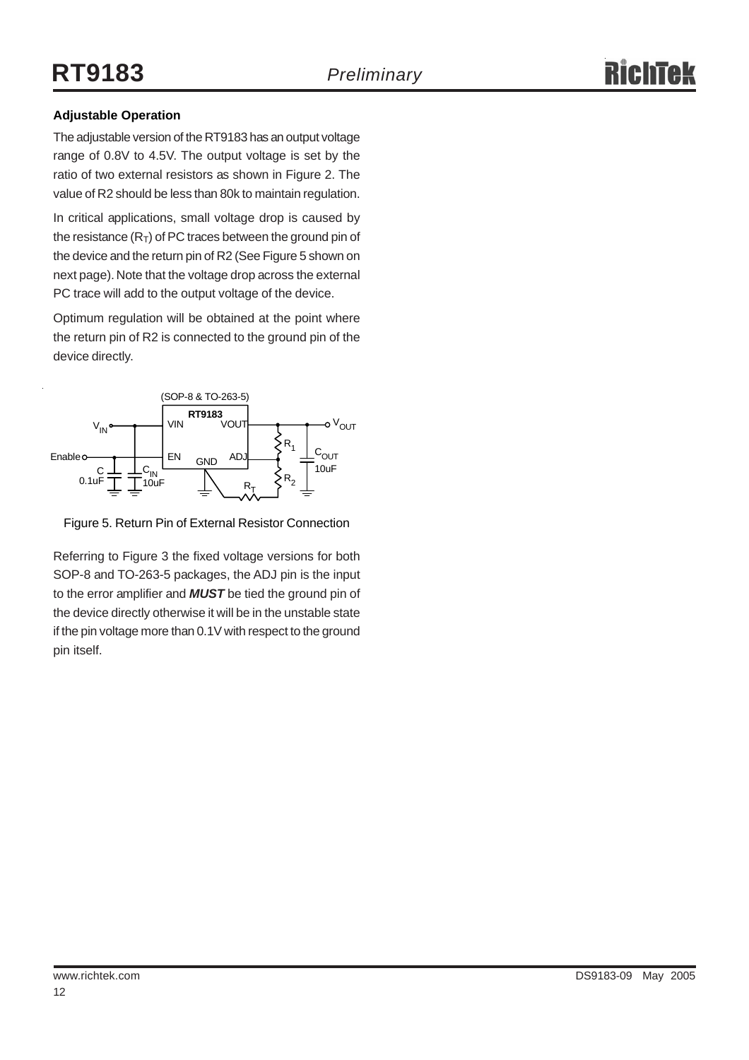#### **Adjustable Operation**

The adjustable version of the RT9183 has an output voltage range of 0.8V to 4.5V. The output voltage is set by the ratio of two external resistors as shown in Figure 2. The value of R2 should be less than 80k to maintain regulation.

In critical applications, small voltage drop is caused by the resistance  $(R<sub>T</sub>)$  of PC traces between the ground pin of the device and the return pin of R2 (See Figure 5 shown on next page). Note that the voltage drop across the external PC trace will add to the output voltage of the device.

Optimum regulation will be obtained at the point where the return pin of R2 is connected to the ground pin of the device directly.



Figure 5. Return Pin of External Resistor Connection

Referring to Figure 3 the fixed voltage versions for both SOP-8 and TO-263-5 packages, the ADJ pin is the input to the error amplifier and *MUST* be tied the ground pin of the device directly otherwise it will be in the unstable state if the pin voltage more than 0.1V with respect to the ground pin itself.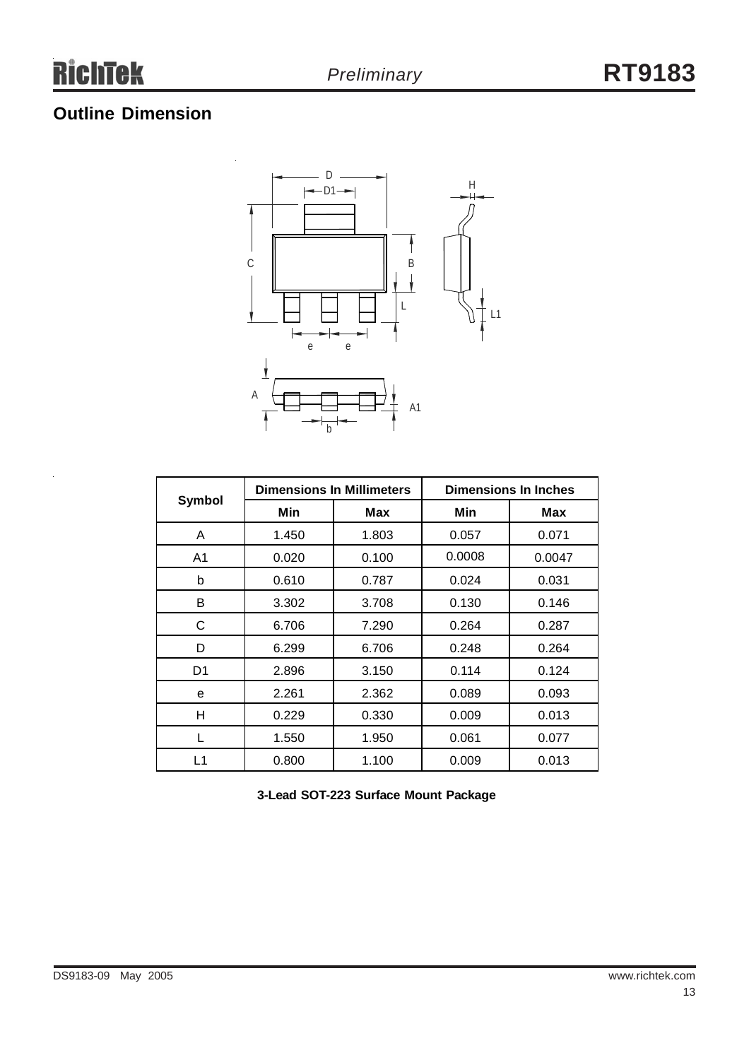## **Outline Dimension**



|        | <b>Dimensions In Millimeters</b> |       | <b>Dimensions In Inches</b> |        |  |
|--------|----------------------------------|-------|-----------------------------|--------|--|
| Symbol | Min                              | Max   | Min                         | Max    |  |
| A      | 1.450                            | 1.803 | 0.057                       | 0.071  |  |
| A1     | 0.020                            | 0.100 | 0.0008                      | 0.0047 |  |
| b      | 0.610                            | 0.787 | 0.024                       | 0.031  |  |
| B      | 3.302                            | 3.708 | 0.130                       | 0.146  |  |
| С      | 6.706                            | 7.290 | 0.264                       | 0.287  |  |
| D      | 6.299                            | 6.706 | 0.248                       | 0.264  |  |
| D1     | 2.896                            | 3.150 | 0.114                       | 0.124  |  |
| e      | 2.261                            | 2.362 | 0.089                       | 0.093  |  |
| H      | 0.229                            | 0.330 | 0.009                       | 0.013  |  |
| L      | 1.550                            | 1.950 | 0.061                       | 0.077  |  |
| L1     | 0.800                            | 1.100 | 0.009                       | 0.013  |  |

**3-Lead SOT-223 Surface Mount Package**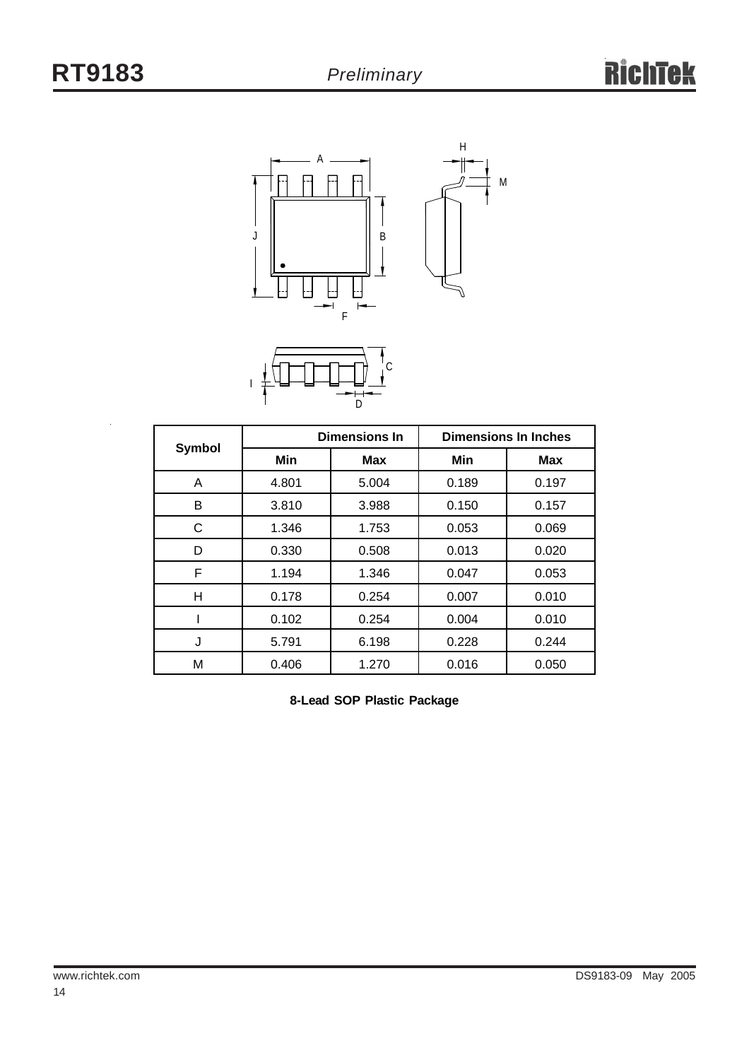

M

C  $\overline{D}$ 

I

 $\ddot{\phantom{a}}$ 

|        |       | <b>Dimensions In</b> | <b>Dimensions In Inches</b> |            |  |
|--------|-------|----------------------|-----------------------------|------------|--|
| Symbol | Min   | <b>Max</b>           | Min                         | <b>Max</b> |  |
| A      | 4.801 | 5.004                | 0.189                       | 0.197      |  |
| В      | 3.810 | 3.988                | 0.150                       | 0.157      |  |
| С      | 1.346 | 1.753                | 0.053                       | 0.069      |  |
| D      | 0.330 | 0.508                | 0.013                       | 0.020      |  |
| F      | 1.194 | 1.346                | 0.047                       | 0.053      |  |
| н      | 0.178 | 0.254                | 0.007                       | 0.010      |  |
|        | 0.102 | 0.254                | 0.004                       | 0.010      |  |
| J      | 5.791 | 6.198                | 0.228                       | 0.244      |  |
| Μ      | 0.406 | 1.270                | 0.016                       | 0.050      |  |

**8-Lead SOP Plastic Package**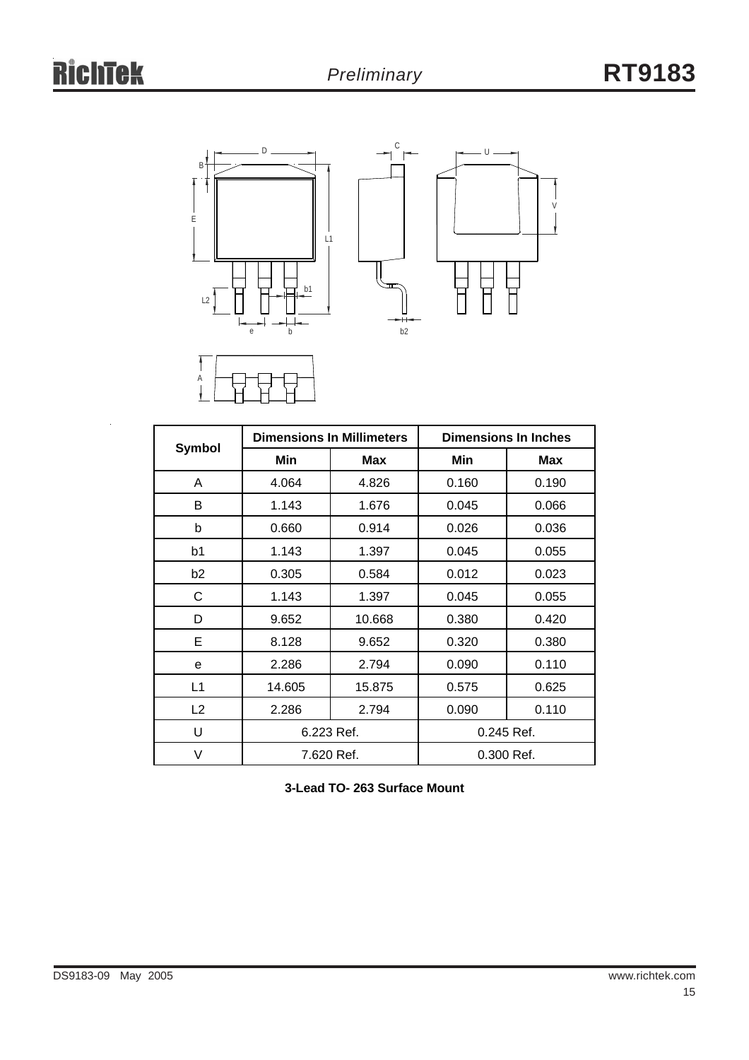

|                |            | <b>Dimensions In Millimeters</b> | <b>Dimensions In Inches</b> |            |  |
|----------------|------------|----------------------------------|-----------------------------|------------|--|
| Symbol         | Min        | Max                              | Min                         | <b>Max</b> |  |
| A              | 4.064      | 4.826                            | 0.160                       | 0.190      |  |
| B              | 1.143      | 1.676                            | 0.045                       | 0.066      |  |
| b              | 0.660      | 0.914                            | 0.026                       | 0.036      |  |
| b1             | 1.143      | 1.397                            | 0.045                       | 0.055      |  |
| b <sub>2</sub> | 0.305      | 0.584                            | 0.012                       | 0.023      |  |
| С              | 1.143      | 1.397                            | 0.045                       | 0.055      |  |
| D              | 9.652      | 10.668                           | 0.380                       | 0.420      |  |
| Е              | 8.128      | 9.652                            | 0.320                       | 0.380      |  |
| e              | 2.286      | 2.794                            | 0.090                       | 0.110      |  |
| L1             | 14.605     | 15.875                           | 0.575                       | 0.625      |  |
| L2             | 2.286      | 2.794                            | 0.090                       | 0.110      |  |
| U              | 6.223 Ref. |                                  | 0.245 Ref.                  |            |  |
| V              | 7.620 Ref. |                                  | 0.300 Ref.                  |            |  |

**3-Lead TO- 263 Surface Mount**